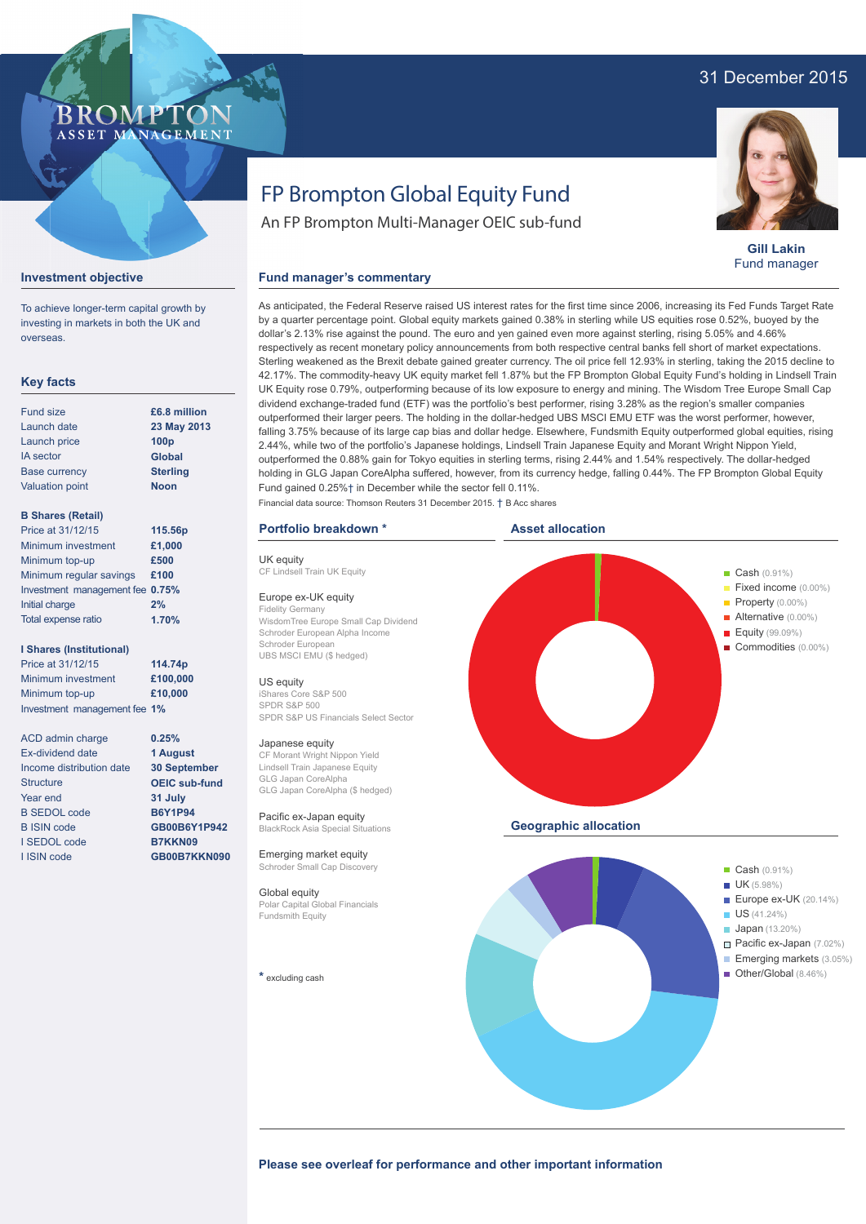## 31 December 2015



**Gill Lakin** Fund manager

Other/Global (8.46%)

**BROMPTO** ASSET MANAGEMENT

#### **Investment objective**

To achieve longer-term capital growth by investing in markets in both the UK and overseas.

#### **Key facts**

| <b>Fund size</b>       | £6.8 million     |  |  |
|------------------------|------------------|--|--|
| Launch date            | 23 May 2013      |  |  |
| Launch price           | 100 <sub>p</sub> |  |  |
| <b>IA</b> sector       | <b>Global</b>    |  |  |
| <b>Base currency</b>   | <b>Sterling</b>  |  |  |
| <b>Valuation point</b> | <b>Noon</b>      |  |  |
|                        |                  |  |  |

### **B Shares (Retail)**

| Price at 31/12/15               | 115.56p |
|---------------------------------|---------|
| Minimum investment              | £1,000  |
| Minimum top-up                  | £500    |
| Minimum regular savings         | £100    |
| Investment management fee 0.75% |         |
| Initial charge                  | 2%      |
| Total expense ratio             | 1.70%   |

#### **I Shares (Institutional)**

Price at 31/12/15 Minimum investment Minimum top-up Investment management fee **1% 114.74p £100,000 £10,000**

> **0.25% 1 August 30 September OEIC sub-fund 31 July B6Y1P94 GB00B6Y1P942 B7KKN09 GB00B7KKN090**

ACD admin charge Ex-dividend date Income distribution date **Structure** Year end B SEDOL code B ISIN code I SEDOL code I ISIN code

# FP Brompton Global Equity Fund

An FP Brompton Multi-Manager OEIC sub-fund

#### **Fund manager's commentary**

As anticipated, the Federal Reserve raised US interest rates for the first time since 2006, increasing its Fed Funds Target Rate by a quarter percentage point. Global equity markets gained 0.38% in sterling while US equities rose 0.52%, buoyed by the dollar's 2.13% rise against the pound. The euro and yen gained even more against sterling, rising 5.05% and 4.66% respectively as recent monetary policy announcements from both respective central banks fell short of market expectations. Sterling weakened as the Brexit debate gained greater currency. The oil price fell 12.93% in sterling, taking the 2015 decline to 42.17%. The commodity-heavy UK equity market fell 1.87% but the FP Brompton Global Equity Fund's holding in Lindsell Train UK Equity rose 0.79%, outperforming because of its low exposure to energy and mining. The Wisdom Tree Europe Small Cap dividend exchange-traded fund (ETF) was the portfolio's best performer, rising 3.28% as the region's smaller companies outperformed their larger peers. The holding in the dollar-hedged UBS MSCI EMU ETF was the worst performer, however, falling 3.75% because of its large cap bias and dollar hedge. Elsewhere, Fundsmith Equity outperformed global equities, rising 2.44%, while two of the portfolio's Japanese holdings, Lindsell Train Japanese Equity and Morant Wright Nippon Yield, outperformed the 0.88% gain for Tokyo equities in sterling terms, rising 2.44% and 1.54% respectively. The dollar-hedged holding in GLG Japan CoreAlpha suffered, however, from its currency hedge, falling 0.44%. The FP Brompton Global Equity Fund gained 0.25%† in December while the sector fell 0.11%. Financial data source: Thomson Reuters 31 December 2015. † B Acc shares

#### **Portfolio breakdown \***

UK equity CF Lindsell Train UK Fquity

#### Europe ex-UK equity

Fidelity Germany WisdomTree Europe Small Cap Dividend Schroder European Alpha Income Schroder European UBS MSCI EMU (\$ hedged)

#### US equity

iShares Core S&P 500 SPDR S&P 500 SPDR S&P US Financials Select Sector

#### Japanese equity

CF Morant Wright Nippon Yield Lindsell Train Japanese Equity GLG Japan CoreAlpha GLG Japan CoreAlpha (\$ hedged)

Pacific ex-Japan equity BlackRock Asia Special Situations

Emerging market equity Schroder Small Cap Discovery

### Global equity

Polar Capital Global Financials Fundsmith Equity

**\*** excluding cash